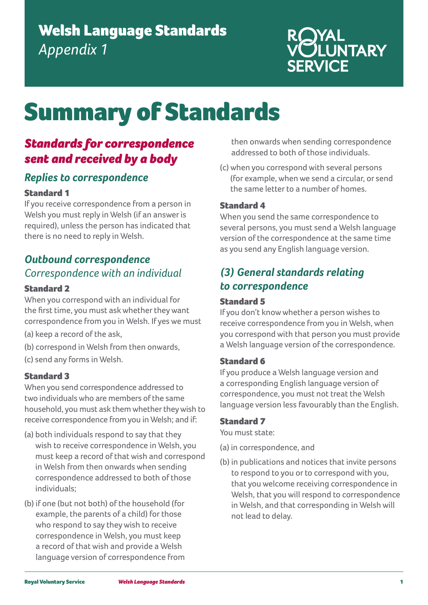# Welsh Language Standards *Appendix 1*

# ROYAL<br>VOLUNTARY

# Summary of Standards

# *Standards for correspondence sent and received by a body*

# *Replies to correspondence*

# Standard 1

If you receive correspondence from a person in Welsh you must reply in Welsh (if an answer is required), unless the person has indicated that there is no need to reply in Welsh.

# *Outbound correspondence Correspondence with an individual*

# Standard 2

When you correspond with an individual for the first time, you must ask whether they want correspondence from you in Welsh. If yes we must

- (a) keep a record of the ask,
- (b) correspond in Welsh from then onwards,
- (c) send any forms in Welsh.

# Standard 3

When you send correspondence addressed to two individuals who are members of the same household, you must ask them whether they wish to receive correspondence from you in Welsh; and if:

- (a) both individuals respond to say that they wish to receive correspondence in Welsh, you must keep a record of that wish and correspond in Welsh from then onwards when sending correspondence addressed to both of those individuals;
- (b) if one (but not both) of the household (for example, the parents of a child) for those who respond to say they wish to receive correspondence in Welsh, you must keep a record of that wish and provide a Welsh language version of correspondence from

then onwards when sending correspondence addressed to both of those individuals.

(c) when you correspond with several persons (for example, when we send a circular, or send the same letter to a number of homes.

# Standard 4

When you send the same correspondence to several persons, you must send a Welsh language version of the correspondence at the same time as you send any English language version.

# *(3) General standards relating to correspondence*

# Standard 5

If you don't know whether a person wishes to receive correspondence from you in Welsh, when you correspond with that person you must provide a Welsh language version of the correspondence.

# Standard 6

If you produce a Welsh language version and a corresponding English language version of correspondence, you must not treat the Welsh language version less favourably than the English.

# Standard 7

You must state:

- (a) in correspondence, and
- (b) in publications and notices that invite persons to respond to you or to correspond with you, that you welcome receiving correspondence in Welsh, that you will respond to correspondence in Welsh, and that corresponding in Welsh will not lead to delay.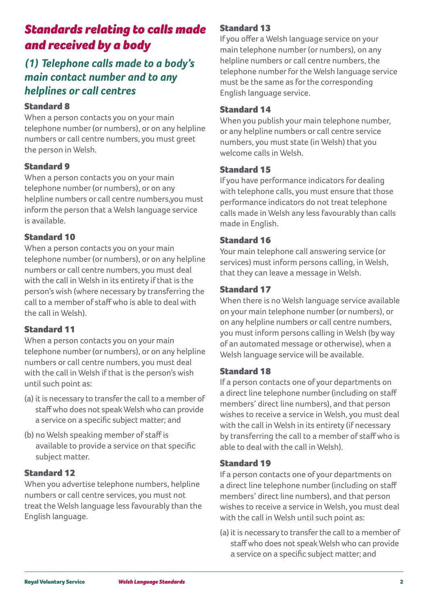# *Standards relating to calls made and received by a body*

# *(1) Telephone calls made to a body's main contact number and to any helplines or call centres*

# Standard 8

When a person contacts you on your main telephone number (or numbers), or on any helpline numbers or call centre numbers, you must greet the person in Welsh.

# Standard 9

When a person contacts you on your main telephone number (or numbers), or on any helpline numbers or call centre numbers,you must inform the person that a Welsh language service is available.

# Standard 10

When a person contacts you on your main telephone number (or numbers), or on any helpline numbers or call centre numbers, you must deal with the call in Welsh in its entirety if that is the person's wish (where necessary by transferring the call to a member of staff who is able to deal with the call in Welsh).

# Standard 11

When a person contacts you on your main telephone number (or numbers), or on any helpline numbers or call centre numbers, you must deal with the call in Welsh if that is the person's wish until such point as:

- (a) it is necessary to transfer the call to a member of staff who does not speak Welsh who can provide a service on a specific subject matter; and
- (b) no Welsh speaking member of staff is available to provide a service on that specific subject matter.

# Standard 12

When you advertise telephone numbers, helpline numbers or call centre services, you must not treat the Welsh language less favourably than the English language.

# Standard 13

If you offer a Welsh language service on your main telephone number (or numbers), on any helpline numbers or call centre numbers, the telephone number for the Welsh language service must be the same as for the corresponding English language service.

# Standard 14

When you publish your main telephone number, or any helpline numbers or call centre service numbers, you must state (in Welsh) that you welcome calls in Welsh.

# Standard 15

If you have performance indicators for dealing with telephone calls, you must ensure that those performance indicators do not treat telephone calls made in Welsh any less favourably than calls made in English.

# Standard 16

Your main telephone call answering service (or services) must inform persons calling, in Welsh, that they can leave a message in Welsh.

# Standard 17

When there is no Welsh language service available on your main telephone number (or numbers), or on any helpline numbers or call centre numbers, you must inform persons calling in Welsh (by way of an automated message or otherwise), when a Welsh language service will be available.

# Standard 18

If a person contacts one of your departments on a direct line telephone number (including on staff members' direct line numbers), and that person wishes to receive a service in Welsh, you must deal with the call in Welsh in its entirety (if necessary by transferring the call to a member of staff who is able to deal with the call in Welsh).

# Standard 19

If a person contacts one of your departments on a direct line telephone number (including on staff members' direct line numbers), and that person wishes to receive a service in Welsh, you must deal with the call in Welsh until such point as:

(a) it is necessary to transfer the call to a member of staff who does not speak Welsh who can provide a service on a specific subject matter; and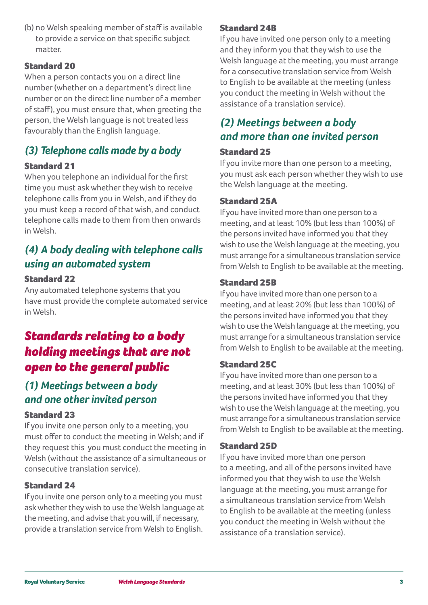(b) no Welsh speaking member of staff is available to provide a service on that specific subject matter.

# Standard 20

When a person contacts you on a direct line number (whether on a department's direct line number or on the direct line number of a member of staff), you must ensure that, when greeting the person, the Welsh language is not treated less favourably than the English language.

# *(3) Telephone calls made by a body*

# Standard 21

When you telephone an individual for the first time you must ask whether they wish to receive telephone calls from you in Welsh, and if they do you must keep a record of that wish, and conduct telephone calls made to them from then onwards in Welsh.

# *(4) A body dealing with telephone calls using an automated system*

### Standard 22

Any automated telephone systems that you have must provide the complete automated service in Welsh.

# *Standards relating to a body holding meetings that are not open to the general public*

# *(1) Meetings between a body and one other invited person*

# Standard 23

If you invite one person only to a meeting, you must offer to conduct the meeting in Welsh; and if they request this you must conduct the meeting in Welsh (without the assistance of a simultaneous or consecutive translation service).

# Standard 24

If you invite one person only to a meeting you must ask whether they wish to use the Welsh language at the meeting, and advise that you will, if necessary, provide a translation service from Welsh to English.

# Standard 24B

If you have invited one person only to a meeting and they inform you that they wish to use the Welsh language at the meeting, you must arrange for a consecutive translation service from Welsh to English to be available at the meeting (unless you conduct the meeting in Welsh without the assistance of a translation service).

# *(2) Meetings between a body and more than one invited person*

# Standard 25

If you invite more than one person to a meeting, you must ask each person whether they wish to use the Welsh language at the meeting.

# Standard 25A

If you have invited more than one person to a meeting, and at least 10% (but less than 100%) of the persons invited have informed you that they wish to use the Welsh language at the meeting, you must arrange for a simultaneous translation service from Welsh to English to be available at the meeting.

# Standard 25B

If you have invited more than one person to a meeting, and at least 20% (but less than 100%) of the persons invited have informed you that they wish to use the Welsh language at the meeting, you must arrange for a simultaneous translation service from Welsh to English to be available at the meeting.

# Standard 25C

If you have invited more than one person to a meeting, and at least 30% (but less than 100%) of the persons invited have informed you that they wish to use the Welsh language at the meeting, you must arrange for a simultaneous translation service from Welsh to English to be available at the meeting.

# Standard 25D

If you have invited more than one person to a meeting, and all of the persons invited have informed you that they wish to use the Welsh language at the meeting, you must arrange for a simultaneous translation service from Welsh to English to be available at the meeting (unless you conduct the meeting in Welsh without the assistance of a translation service).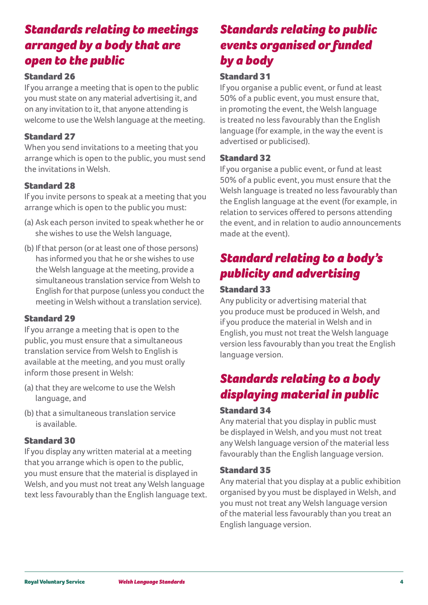# *Standards relating to meetings arranged by a body that are open to the public*

# Standard 26

If you arrange a meeting that is open to the public you must state on any material advertising it, and on any invitation to it, that anyone attending is welcome to use the Welsh language at the meeting.

# Standard 27

When you send invitations to a meeting that you arrange which is open to the public, you must send the invitations in Welsh.

# Standard 28

If you invite persons to speak at a meeting that you arrange which is open to the public you must:

- (a) Ask each person invited to speak whether he or she wishes to use the Welsh language,
- (b) If that person (or at least one of those persons) has informed you that he or she wishes to use the Welsh language at the meeting, provide a simultaneous translation service from Welsh to English for that purpose (unless you conduct the meeting in Welsh without a translation service).

# Standard 29

If you arrange a meeting that is open to the public, you must ensure that a simultaneous translation service from Welsh to English is available at the meeting, and you must orally inform those present in Welsh:

- (a) that they are welcome to use the Welsh language, and
- (b) that a simultaneous translation service is available.

# Standard 30

If you display any written material at a meeting that you arrange which is open to the public, you must ensure that the material is displayed in Welsh, and you must not treat any Welsh language text less favourably than the English language text.

# *Standards relating to public events organised or funded by a body*

# Standard 31

If you organise a public event, or fund at least 50% of a public event, you must ensure that, in promoting the event, the Welsh language is treated no less favourably than the English language (for example, in the way the event is advertised or publicised).

# Standard 32

If you organise a public event, or fund at least 50% of a public event, you must ensure that the Welsh language is treated no less favourably than the English language at the event (for example, in relation to services offered to persons attending the event, and in relation to audio announcements made at the event).

# *Standard relating to a body's publicity and advertising*

# Standard 33

Any publicity or advertising material that you produce must be produced in Welsh, and if you produce the material in Welsh and in English, you must not treat the Welsh language version less favourably than you treat the English language version.

# *Standards relating to a body displaying material in public*

### Standard 34

Any material that you display in public must be displayed in Welsh, and you must not treat any Welsh language version of the material less favourably than the English language version.

# Standard 35

Any material that you display at a public exhibition organised by you must be displayed in Welsh, and you must not treat any Welsh language version of the material less favourably than you treat an English language version.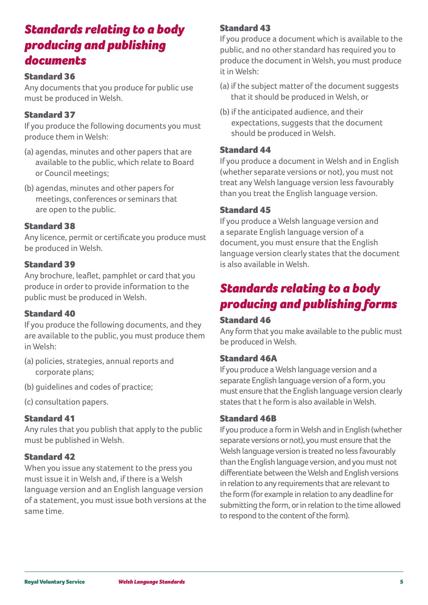# *Standards relating to a body producing and publishing documents*

# Standard 36

Any documents that you produce for public use must be produced in Welsh.

# Standard 37

If you produce the following documents you must produce them in Welsh:

- (a) agendas, minutes and other papers that are available to the public, which relate to Board or Council meetings;
- (b) agendas, minutes and other papers for meetings, conferences or seminars that are open to the public.

# Standard 38

Any licence, permit or certificate you produce must be produced in Welsh.

# Standard 39

Any brochure, leaflet, pamphlet or card that you produce in order to provide information to the public must be produced in Welsh.

# Standard 40

If you produce the following documents, and they are available to the public, you must produce them in Welsh:

- (a) policies, strategies, annual reports and corporate plans;
- (b) guidelines and codes of practice;
- (c) consultation papers.

# Standard 41

Any rules that you publish that apply to the public must be published in Welsh.

# Standard 42

When you issue any statement to the press you must issue it in Welsh and, if there is a Welsh language version and an English language version of a statement, you must issue both versions at the same time.

# Standard 43

If you produce a document which is available to the public, and no other standard has required you to produce the document in Welsh, you must produce it in Welsh:

- (a) if the subject matter of the document suggests that it should be produced in Welsh, or
- (b) if the anticipated audience, and their expectations, suggests that the document should be produced in Welsh.

# Standard 44

If you produce a document in Welsh and in English (whether separate versions or not), you must not treat any Welsh language version less favourably than you treat the English language version.

# Standard 45

If you produce a Welsh language version and a separate English language version of a document, you must ensure that the English language version clearly states that the document is also available in Welsh.

# *Standards relating to a body producing and publishing forms*

# Standard 46

Any form that you make available to the public must be produced in Welsh.

### Standard 46A

If you produce a Welsh language version and a separate English language version of a form, you must ensure that the English language version clearly states that t he form is also available in Welsh.

### Standard 46B

If you produce a form in Welsh and in English (whether separate versions or not), you must ensure that the Welsh language version is treated no less favourably than the English language version, and you must not differentiate between the Welsh and English versions in relation to any requirements that are relevant to the form (for example in relation to any deadline for submitting the form, or in relation to the time allowed to respond to the content of the form).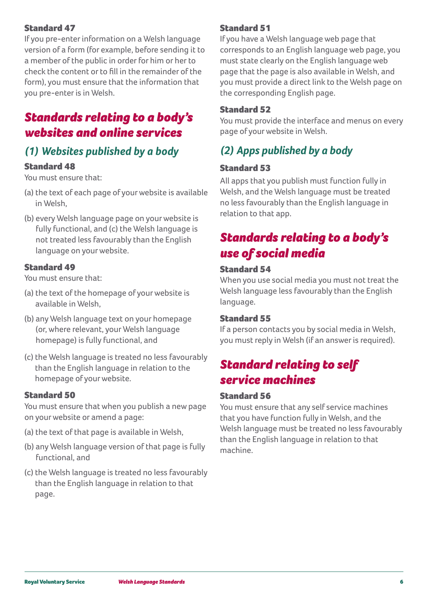# Standard 47

If you pre-enter information on a Welsh language version of a form (for example, before sending it to a member of the public in order for him or her to check the content or to fill in the remainder of the form), you must ensure that the information that you pre-enter is in Welsh.

# *Standards relating to a body's websites and online services*

# *(1) Websites published by a body*

### Standard 48

You must ensure that:

- (a) the text of each page of your website is available in Welsh,
- (b) every Welsh language page on your website is fully functional, and (c) the Welsh language is not treated less favourably than the English language on your website.

### Standard 49

You must ensure that:

- (a) the text of the homepage of your website is available in Welsh,
- (b) any Welsh language text on your homepage (or, where relevant, your Welsh language homepage) is fully functional, and
- (c) the Welsh language is treated no less favourably than the English language in relation to the homepage of your website.

### Standard 50

You must ensure that when you publish a new page on your website or amend a page:

- (a) the text of that page is available in Welsh,
- (b) any Welsh language version of that page is fully functional, and
- (c) the Welsh language is treated no less favourably than the English language in relation to that page.

# Standard 51

If you have a Welsh language web page that corresponds to an English language web page, you must state clearly on the English language web page that the page is also available in Welsh, and you must provide a direct link to the Welsh page on the corresponding English page.

### Standard 52

You must provide the interface and menus on every page of your website in Welsh.

# *(2) Apps published by a body*

# Standard 53

All apps that you publish must function fully in Welsh, and the Welsh language must be treated no less favourably than the English language in relation to that app.

# *Standards relating to a body's use of social media*

### Standard 54

When you use social media you must not treat the Welsh language less favourably than the English language.

### Standard 55

If a person contacts you by social media in Welsh, you must reply in Welsh (if an answer is required).

# *Standard relating to self service machines*

### Standard 56

You must ensure that any self service machines that you have function fully in Welsh, and the Welsh language must be treated no less favourably than the English language in relation to that machine.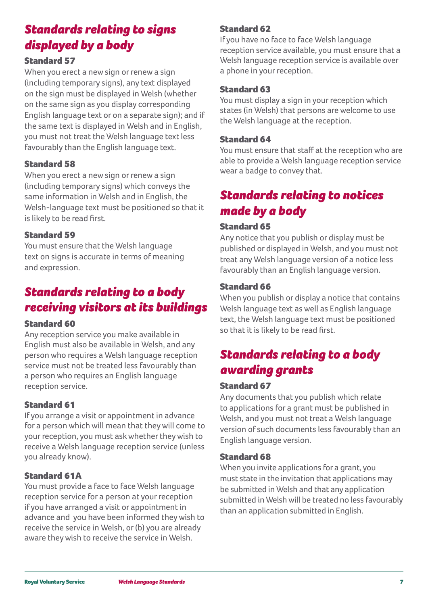# *Standards relating to signs displayed by a body*

# Standard 57

When you erect a new sign or renew a sign (including temporary signs), any text displayed on the sign must be displayed in Welsh (whether on the same sign as you display corresponding English language text or on a separate sign); and if the same text is displayed in Welsh and in English, you must not treat the Welsh language text less favourably than the English language text.

# Standard 58

When you erect a new sign or renew a sign (including temporary signs) which conveys the same information in Welsh and in English, the Welsh-language text must be positioned so that it is likely to be read first.

### Standard 59

You must ensure that the Welsh language text on signs is accurate in terms of meaning and expression.

# *Standards relating to a body receiving visitors at its buildings*

### Standard 60

Any reception service you make available in English must also be available in Welsh, and any person who requires a Welsh language reception service must not be treated less favourably than a person who requires an English language reception service.

# Standard 61

If you arrange a visit or appointment in advance for a person which will mean that they will come to your reception, you must ask whether they wish to receive a Welsh language reception service (unless you already know).

# Standard 61A

You must provide a face to face Welsh language reception service for a person at your reception if you have arranged a visit or appointment in advance and you have been informed they wish to receive the service in Welsh, or (b) you are already aware they wish to receive the service in Welsh.

### Standard 62

If you have no face to face Welsh language reception service available, you must ensure that a Welsh language reception service is available over a phone in your reception.

### Standard 63

You must display a sign in your reception which states (in Welsh) that persons are welcome to use the Welsh language at the reception.

### Standard 64

You must ensure that staff at the reception who are able to provide a Welsh language reception service wear a badge to convey that.

# *Standards relating to notices made by a body*

### Standard 65

Any notice that you publish or display must be published or displayed in Welsh, and you must not treat any Welsh language version of a notice less favourably than an English language version.

### Standard 66

When you publish or display a notice that contains Welsh language text as well as English language text, the Welsh language text must be positioned so that it is likely to be read first.

# *Standards relating to a body awarding grants*

### Standard 67

Any documents that you publish which relate to applications for a grant must be published in Welsh, and you must not treat a Welsh language version of such documents less favourably than an English language version.

### Standard 68

When you invite applications for a grant, you must state in the invitation that applications may be submitted in Welsh and that any application submitted in Welsh will be treated no less favourably than an application submitted in English.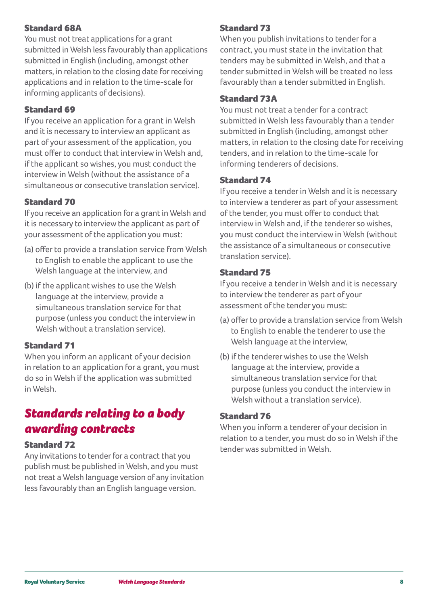# Standard 68A

You must not treat applications for a grant submitted in Welsh less favourably than applications submitted in English (including, amongst other matters, in relation to the closing date for receiving applications and in relation to the time-scale for informing applicants of decisions).

# Standard 69

If you receive an application for a grant in Welsh and it is necessary to interview an applicant as part of your assessment of the application, you must offer to conduct that interview in Welsh and, if the applicant so wishes, you must conduct the interview in Welsh (without the assistance of a simultaneous or consecutive translation service).

# Standard 70

If you receive an application for a grant in Welsh and it is necessary to interview the applicant as part of your assessment of the application you must:

- (a) offer to provide a translation service from Welsh to English to enable the applicant to use the Welsh language at the interview, and
- (b) if the applicant wishes to use the Welsh language at the interview, provide a simultaneous translation service for that purpose (unless you conduct the interview in Welsh without a translation service).

# Standard 71

When you inform an applicant of your decision in relation to an application for a grant, you must do so in Welsh if the application was submitted in Welsh.

# *Standards relating to a body awarding contracts*

### Standard 72

Any invitations to tender for a contract that you publish must be published in Welsh, and you must not treat a Welsh language version of any invitation less favourably than an English language version.

# Standard 73

When you publish invitations to tender for a contract, you must state in the invitation that tenders may be submitted in Welsh, and that a tender submitted in Welsh will be treated no less favourably than a tender submitted in English.

### Standard 73A

You must not treat a tender for a contract submitted in Welsh less favourably than a tender submitted in English (including, amongst other matters, in relation to the closing date for receiving tenders, and in relation to the time-scale for informing tenderers of decisions.

### Standard 74

If you receive a tender in Welsh and it is necessary to interview a tenderer as part of your assessment of the tender, you must offer to conduct that interview in Welsh and, if the tenderer so wishes, you must conduct the interview in Welsh (without the assistance of a simultaneous or consecutive translation service).

# Standard 75

If you receive a tender in Welsh and it is necessary to interview the tenderer as part of your assessment of the tender you must:

- (a) offer to provide a translation service from Welsh to English to enable the tenderer to use the Welsh language at the interview,
- (b) if the tenderer wishes to use the Welsh language at the interview, provide a simultaneous translation service for that purpose (unless you conduct the interview in Welsh without a translation service).

# Standard 76

When you inform a tenderer of your decision in relation to a tender, you must do so in Welsh if the tender was submitted in Welsh.